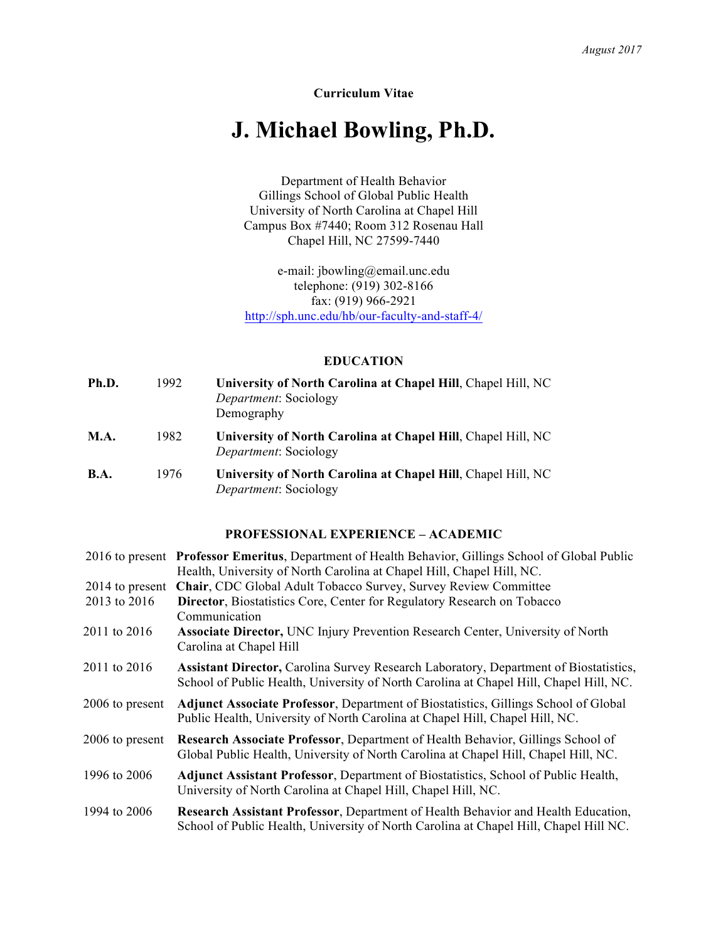# **Curriculum Vitae**

# **J. Michael Bowling, Ph.D.**

Department of Health Behavior Gillings School of Global Public Health University of North Carolina at Chapel Hill Campus Box #7440; Room 312 Rosenau Hall Chapel Hill, NC 27599-7440

e-mail: jbowling@email.unc.edu telephone: (919) 302-8166 fax: (919) 966-2921 <http://sph.unc.edu/hb/our-faculty-and-staff-4/>

## **EDUCATION**

| Ph.D.       | 1992 | University of North Carolina at Chapel Hill, Chapel Hill, NC<br><i>Department:</i> Sociology<br>Demography |
|-------------|------|------------------------------------------------------------------------------------------------------------|
| <b>M.A.</b> | 1982 | University of North Carolina at Chapel Hill, Chapel Hill, NC<br><i>Department:</i> Sociology               |
| <b>B.A.</b> | 1976 | University of North Carolina at Chapel Hill, Chapel Hill, NC<br><i>Department:</i> Sociology               |

## **PROFESSIONAL EXPERIENCE – ACADEMIC**

|                 | 2016 to present Professor Emeritus, Department of Health Behavior, Gillings School of Global Public                                                                                    |
|-----------------|----------------------------------------------------------------------------------------------------------------------------------------------------------------------------------------|
|                 | Health, University of North Carolina at Chapel Hill, Chapel Hill, NC.                                                                                                                  |
| 2014 to present | Chair, CDC Global Adult Tobacco Survey, Survey Review Committee                                                                                                                        |
| 2013 to 2016    | <b>Director, Biostatistics Core, Center for Regulatory Research on Tobacco</b>                                                                                                         |
|                 | Communication                                                                                                                                                                          |
| 2011 to 2016    | <b>Associate Director, UNC Injury Prevention Research Center, University of North</b><br>Carolina at Chapel Hill                                                                       |
| 2011 to 2016    | <b>Assistant Director, Carolina Survey Research Laboratory, Department of Biostatistics,</b><br>School of Public Health, University of North Carolina at Chapel Hill, Chapel Hill, NC. |
| 2006 to present | <b>Adjunct Associate Professor, Department of Biostatistics, Gillings School of Global</b><br>Public Health, University of North Carolina at Chapel Hill, Chapel Hill, NC.             |
| 2006 to present | Research Associate Professor, Department of Health Behavior, Gillings School of<br>Global Public Health, University of North Carolina at Chapel Hill, Chapel Hill, NC.                 |
| 1996 to 2006    | <b>Adjunct Assistant Professor, Department of Biostatistics, School of Public Health,</b><br>University of North Carolina at Chapel Hill, Chapel Hill, NC.                             |
| 1994 to 2006    | Research Assistant Professor, Department of Health Behavior and Health Education,<br>School of Public Health, University of North Carolina at Chapel Hill, Chapel Hill NC.             |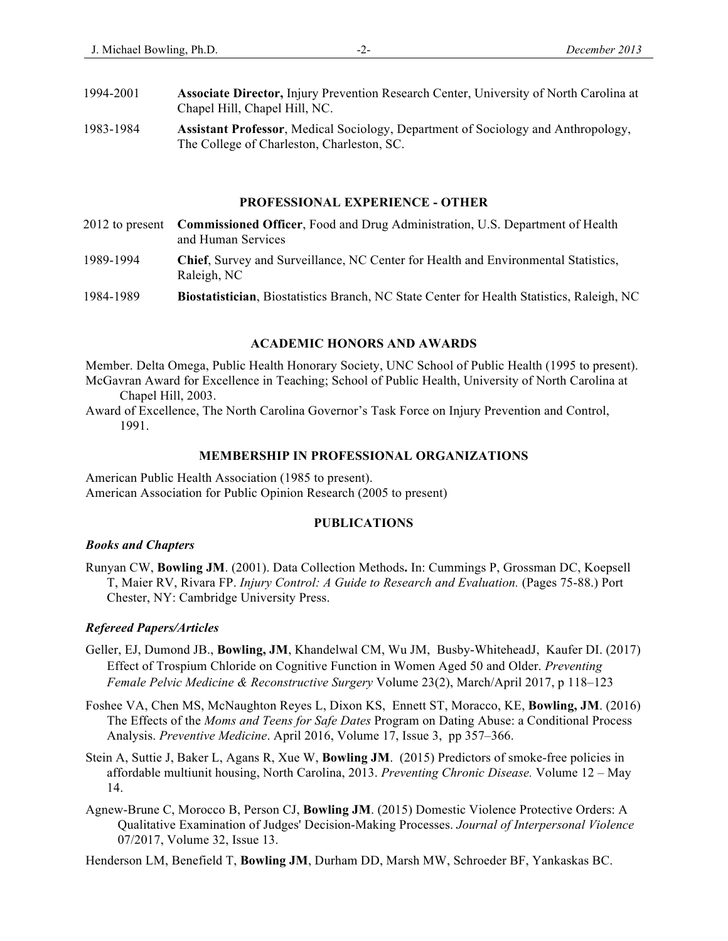- 1994-2001 **Associate Director,** Injury Prevention Research Center, University of North Carolina at Chapel Hill, Chapel Hill, NC.
- 1983-1984 **Assistant Professor**, Medical Sociology, Department of Sociology and Anthropology, The College of Charleston, Charleston, SC.

## **PROFESSIONAL EXPERIENCE - OTHER**

2012 to present **Commissioned Officer**, Food and Drug Administration, U.S. Department of Health and Human Services 1989-1994 **Chief**, Survey and Surveillance, NC Center for Health and Environmental Statistics, Raleigh, NC 1984-1989 **Biostatistician**, Biostatistics Branch, NC State Center for Health Statistics, Raleigh, NC

### **ACADEMIC HONORS AND AWARDS**

Member. Delta Omega, Public Health Honorary Society, UNC School of Public Health (1995 to present). McGavran Award for Excellence in Teaching; School of Public Health, University of North Carolina at Chapel Hill, 2003.

Award of Excellence, The North Carolina Governor's Task Force on Injury Prevention and Control, 1991.

### **MEMBERSHIP IN PROFESSIONAL ORGANIZATIONS**

American Public Health Association (1985 to present). American Association for Public Opinion Research (2005 to present)

# **PUBLICATIONS**

#### *Books and Chapters*

Runyan CW, **Bowling JM**. (2001). Data Collection Methods**.** In: Cummings P, Grossman DC, Koepsell T, Maier RV, Rivara FP. *Injury Control: A Guide to Research and Evaluation.* (Pages 75-88.) Port Chester, NY: Cambridge University Press.

### *Refereed Papers/Articles*

- Geller, EJ, Dumond JB., **Bowling, JM**, Khandelwal CM, Wu JM, Busby-WhiteheadJ, Kaufer DI. (2017) Effect of Trospium Chloride on Cognitive Function in Women Aged 50 and Older. *Preventing Female Pelvic Medicine & Reconstructive Surgery* Volume 23(2), March/April 2017, p 118–123
- Foshee VA, Chen MS, McNaughton Reyes L, Dixon KS, Ennett ST, Moracco, KE, **Bowling, JM**. (2016) The Effects of the *Moms and Teens for Safe Dates* Program on Dating Abuse: a Conditional Process Analysis. *Preventive Medicine*. April 2016, Volume 17, Issue 3, pp 357–366.
- Stein A, Suttie J, Baker L, Agans R, Xue W, **Bowling JM**. (2015) Predictors of smoke-free policies in affordable multiunit housing, North Carolina, 2013. *Preventing Chronic Disease.* Volume 12 – May 14.
- Agnew-Brune C, Morocco B, Person CJ, **Bowling JM**. (2015) Domestic Violence Protective Orders: A Qualitative Examination of Judges' Decision-Making Processes. *Journal of Interpersonal Violence* 07/2017, Volume 32, Issue 13.

Henderson LM, Benefield T, **Bowling JM**, Durham DD, Marsh MW, Schroeder BF, Yankaskas BC.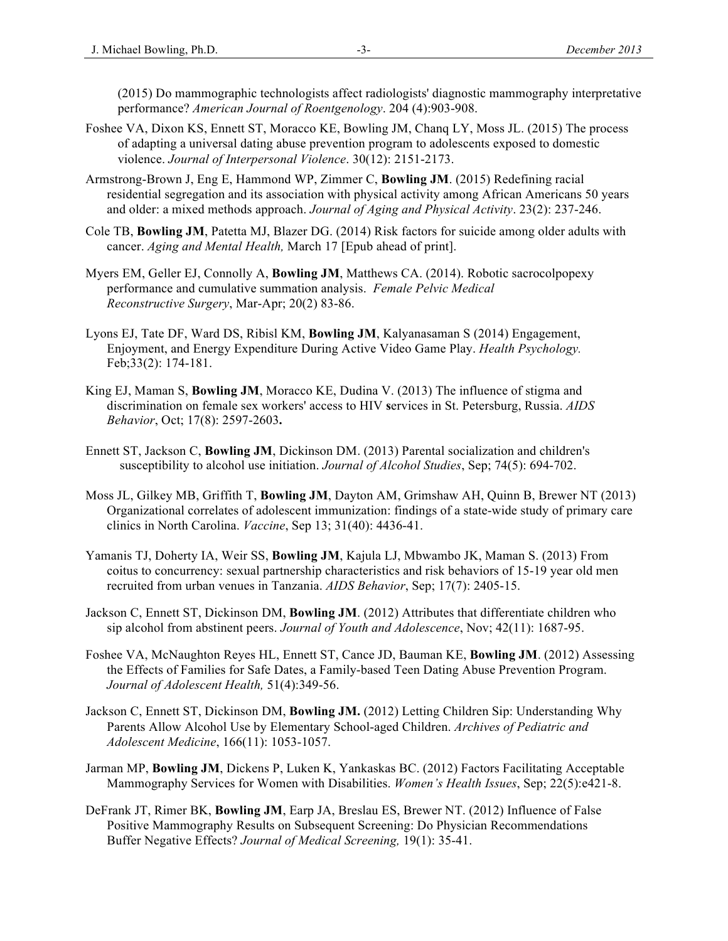(2015) Do mammographic technologists affect radiologists' diagnostic mammography interpretative performance? *American Journal of Roentgenology*. 204 (4):903-908.

- Foshee VA, Dixon KS, Ennett ST, Moracco KE, Bowling JM, Chanq LY, Moss JL. (2015) The process of adapting a universal dating abuse prevention program to adolescents exposed to domestic violence. *Journal of Interpersonal Violence*. 30(12): 2151-2173.
- Armstrong-Brown J, Eng E, Hammond WP, Zimmer C, **Bowling JM**. (2015) Redefining racial residential segregation and its association with physical activity among African Americans 50 years and older: a mixed methods approach. *Journal of Aging and Physical Activity*. 23(2): 237-246.
- Cole TB, **Bowling JM**, Patetta MJ, Blazer DG. (2014) Risk factors for suicide among older adults with cancer. *Aging and Mental Health,* March 17 [Epub ahead of print].
- Myers EM, Geller EJ, Connolly A, **Bowling JM**, Matthews CA. (2014). Robotic sacrocolpopexy performance and cumulative summation analysis. *Female Pelvic Medical Reconstructive Surgery*, Mar-Apr; 20(2) 83-86.
- Lyons EJ, Tate DF, Ward DS, Ribisl KM, **Bowling JM**, Kalyanasaman S (2014) Engagement, Enjoyment, and Energy Expenditure During Active Video Game Play. *Health Psychology.*  Feb;33(2): 174-181.
- King EJ, Maman S, **Bowling JM**, Moracco KE, Dudina V. (2013) The influence of stigma and discrimination on female sex workers' access to HIV **s**ervices in St. Petersburg, Russia. *AIDS Behavior*, Oct; 17(8): 2597-2603**.**
- Ennett ST, Jackson C, **Bowling JM**, Dickinson DM. (2013) Parental socialization and children's susceptibility to alcohol use initiation. *Journal of Alcohol Studies*, Sep; 74(5): 694-702.
- Moss JL, Gilkey MB, Griffith T, **Bowling JM**, Dayton AM, Grimshaw AH, Quinn B, Brewer NT (2013) Organizational correlates of adolescent immunization: findings of a state-wide study of primary care clinics in North Carolina. *Vaccine*, Sep 13; 31(40): 4436-41.
- Yamanis TJ, Doherty IA, Weir SS, **Bowling JM**, Kajula LJ, Mbwambo JK, Maman S. (2013) From coitus to concurrency: sexual partnership characteristics and risk behaviors of 15-19 year old men recruited from urban venues in Tanzania. *AIDS Behavior*, Sep; 17(7): 2405-15.
- Jackson C, Ennett ST, Dickinson DM, **Bowling JM**. (2012) Attributes that differentiate children who sip alcohol from abstinent peers. *Journal of Youth and Adolescence*, Nov; 42(11): 1687-95.
- Foshee VA, McNaughton Reyes HL, Ennett ST, Cance JD, Bauman KE, **Bowling JM**. (2012) Assessing the Effects of Families for Safe Dates, a Family-based Teen Dating Abuse Prevention Program. *Journal of Adolescent Health,* 51(4):349-56.
- Jackson C, Ennett ST, Dickinson DM, **Bowling JM.** (2012) Letting Children Sip: Understanding Why Parents Allow Alcohol Use by Elementary School-aged Children. *Archives of Pediatric and Adolescent Medicine*, 166(11): 1053-1057.
- Jarman MP, **Bowling JM**, Dickens P, Luken K, Yankaskas BC. (2012) Factors Facilitating Acceptable Mammography Services for Women with Disabilities. *Women's Health Issues*, Sep; 22(5):e421-8.
- DeFrank JT, Rimer BK, **Bowling JM**, Earp JA, Breslau ES, Brewer NT. (2012) Influence of False Positive Mammography Results on Subsequent Screening: Do Physician Recommendations Buffer Negative Effects? *Journal of Medical Screening,* 19(1): 35-41.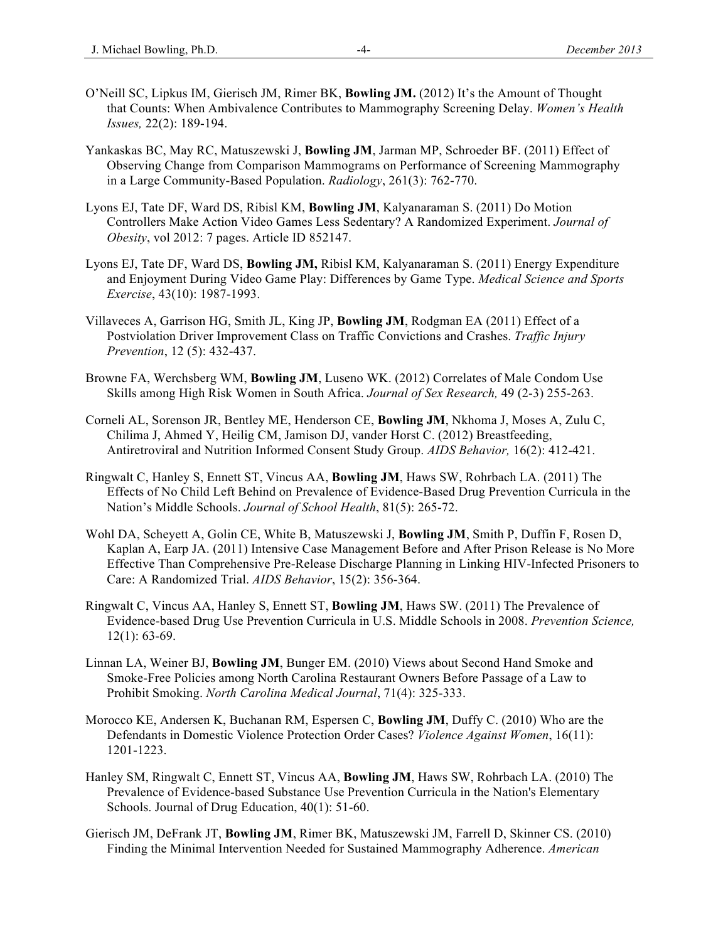- O'Neill SC, Lipkus IM, Gierisch JM, Rimer BK, **Bowling JM.** (2012) It's the Amount of Thought that Counts: When Ambivalence Contributes to Mammography Screening Delay. *Women's Health Issues,* 22(2): 189-194.
- Yankaskas BC, May RC, Matuszewski J, **Bowling JM**, Jarman MP, Schroeder BF. (2011) Effect of Observing Change from Comparison Mammograms on Performance of Screening Mammography in a Large Community-Based Population. *Radiology*, 261(3): 762-770.
- Lyons EJ, Tate DF, Ward DS, Ribisl KM, **Bowling JM**, Kalyanaraman S. (2011) Do Motion Controllers Make Action Video Games Less Sedentary? A Randomized Experiment. *Journal of Obesity*, vol 2012: 7 pages. Article ID 852147.
- Lyons EJ, Tate DF, Ward DS, **Bowling JM,** Ribisl KM, Kalyanaraman S. (2011) Energy Expenditure and Enjoyment During Video Game Play: Differences by Game Type. *Medical Science and Sports Exercise*, 43(10): 1987-1993.
- Villaveces A, Garrison HG, Smith JL, King JP, **Bowling JM**, Rodgman EA (2011) Effect of a Postviolation Driver Improvement Class on Traffic Convictions and Crashes. *Traffic Injury Prevention*, 12 (5): 432-437.
- Browne FA, Werchsberg WM, **Bowling JM**, Luseno WK. (2012) Correlates of Male Condom Use Skills among High Risk Women in South Africa. *Journal of Sex Research,* 49 (2-3) 255-263.
- Corneli AL, Sorenson JR, Bentley ME, Henderson CE, **Bowling JM**, Nkhoma J, Moses A, Zulu C, Chilima J, Ahmed Y, Heilig CM, Jamison DJ, vander Horst C. (2012) Breastfeeding, Antiretroviral and Nutrition Informed Consent Study Group. *AIDS Behavior,* 16(2): 412-421.
- Ringwalt C, Hanley S, Ennett ST, Vincus AA, **Bowling JM**, Haws SW, Rohrbach LA. (2011) The Effects of No Child Left Behind on Prevalence of Evidence-Based Drug Prevention Curricula in the Nation's Middle Schools. *Journal of School Health*, 81(5): 265-72.
- Wohl DA, Scheyett A, Golin CE, White B, Matuszewski J, **Bowling JM**, Smith P, Duffin F, Rosen D, Kaplan A, Earp JA. (2011) Intensive Case Management Before and After Prison Release is No More Effective Than Comprehensive Pre-Release Discharge Planning in Linking HIV-Infected Prisoners to Care: A Randomized Trial. *AIDS Behavior*, 15(2): 356-364.
- Ringwalt C, Vincus AA, Hanley S, Ennett ST, **Bowling JM**, Haws SW. (2011) The Prevalence of Evidence-based Drug Use Prevention Curricula in U.S. Middle Schools in 2008. *Prevention Science,* 12(1): 63-69.
- Linnan LA, Weiner BJ, **Bowling JM**, Bunger EM. (2010) Views about Second Hand Smoke and Smoke-Free Policies among North Carolina Restaurant Owners Before Passage of a Law to Prohibit Smoking. *North Carolina Medical Journal*, 71(4): 325-333.
- Morocco KE, Andersen K, Buchanan RM, Espersen C, **Bowling JM**, Duffy C. (2010) Who are the Defendants in Domestic Violence Protection Order Cases? *Violence Against Women*, 16(11): 1201-1223.
- Hanley SM, Ringwalt C, Ennett ST, Vincus AA, **Bowling JM**, Haws SW, Rohrbach LA. (2010) The Prevalence of Evidence-based Substance Use Prevention Curricula in the Nation's Elementary Schools. Journal of Drug Education, 40(1): 51-60.
- Gierisch JM, DeFrank JT, **Bowling JM**, Rimer BK, Matuszewski JM, Farrell D, Skinner CS. (2010) Finding the Minimal Intervention Needed for Sustained Mammography Adherence. *American*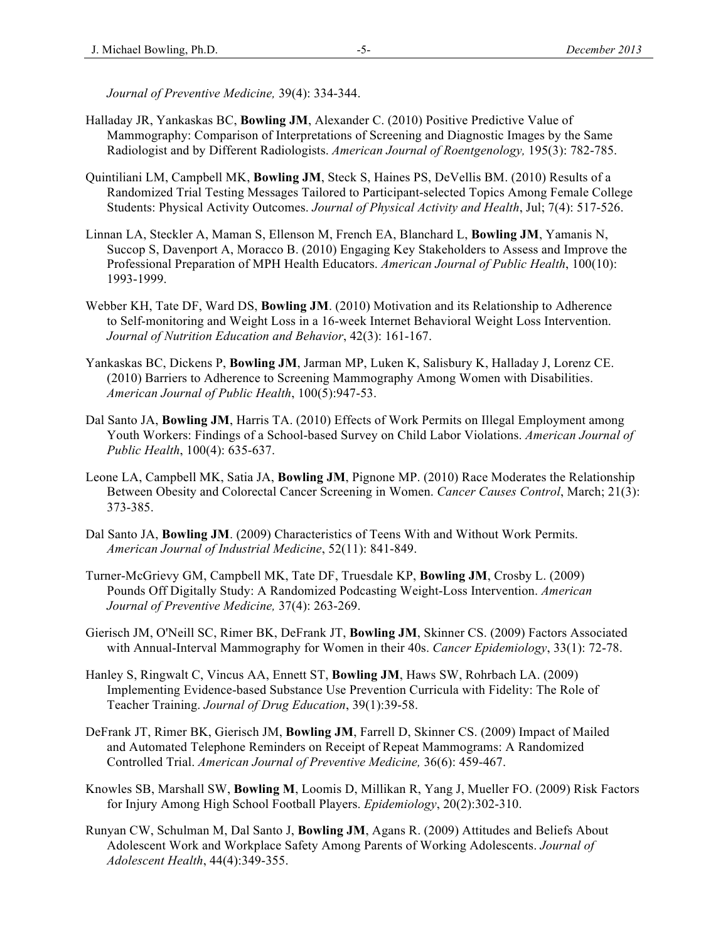*Journal of Preventive Medicine,* 39(4): 334-344.

- Halladay JR, Yankaskas BC, **Bowling JM**, Alexander C. (2010) Positive Predictive Value of Mammography: Comparison of Interpretations of Screening and Diagnostic Images by the Same Radiologist and by Different Radiologists. *American Journal of Roentgenology,* 195(3): 782-785.
- Quintiliani LM, Campbell MK, **Bowling JM**, Steck S, Haines PS, DeVellis BM. (2010) Results of a Randomized Trial Testing Messages Tailored to Participant-selected Topics Among Female College Students: Physical Activity Outcomes. *Journal of Physical Activity and Health*, Jul; 7(4): 517-526.
- Linnan LA, Steckler A, Maman S, Ellenson M, French EA, Blanchard L, **Bowling JM**, Yamanis N, Succop S, Davenport A, Moracco B. (2010) Engaging Key Stakeholders to Assess and Improve the Professional Preparation of MPH Health Educators. *American Journal of Public Health*, 100(10): 1993-1999.
- Webber KH, Tate DF, Ward DS, **Bowling JM**. (2010) Motivation and its Relationship to Adherence to Self-monitoring and Weight Loss in a 16-week Internet Behavioral Weight Loss Intervention. *Journal of Nutrition Education and Behavior*, 42(3): 161-167.
- Yankaskas BC, Dickens P, **Bowling JM**, Jarman MP, Luken K, Salisbury K, Halladay J, Lorenz CE. (2010) Barriers to Adherence to Screening Mammography Among Women with Disabilities. *American Journal of Public Health*, 100(5):947-53.
- Dal Santo JA, **Bowling JM**, Harris TA. (2010) Effects of Work Permits on Illegal Employment among Youth Workers: Findings of a School-based Survey on Child Labor Violations. *American Journal of Public Health*, 100(4): 635-637.
- Leone LA, Campbell MK, Satia JA, **Bowling JM**, Pignone MP. (2010) Race Moderates the Relationship Between Obesity and Colorectal Cancer Screening in Women. *Cancer Causes Control*, March; 21(3): 373-385.
- Dal Santo JA, **Bowling JM**. (2009) Characteristics of Teens With and Without Work Permits. *American Journal of Industrial Medicine*, 52(11): 841-849.
- Turner-McGrievy GM, Campbell MK, Tate DF, Truesdale KP, **Bowling JM**, Crosby L. (2009) Pounds Off Digitally Study: A Randomized Podcasting Weight-Loss Intervention. *American Journal of Preventive Medicine,* 37(4): 263-269.
- Gierisch JM, O'Neill SC, Rimer BK, DeFrank JT, **Bowling JM**, Skinner CS. (2009) Factors Associated with Annual-Interval Mammography for Women in their 40s. *Cancer Epidemiology*, 33(1): 72-78.
- Hanley S, Ringwalt C, Vincus AA, Ennett ST, **Bowling JM**, Haws SW, Rohrbach LA. (2009) Implementing Evidence-based Substance Use Prevention Curricula with Fidelity: The Role of Teacher Training. *Journal of Drug Education*, 39(1):39-58.
- DeFrank JT, Rimer BK, Gierisch JM, **Bowling JM**, Farrell D, Skinner CS. (2009) Impact of Mailed and Automated Telephone Reminders on Receipt of Repeat Mammograms: A Randomized Controlled Trial. *American Journal of Preventive Medicine,* 36(6): 459-467.
- Knowles SB, Marshall SW, **Bowling M**, Loomis D, Millikan R, Yang J, Mueller FO. (2009) Risk Factors for Injury Among High School Football Players. *Epidemiology*, 20(2):302-310.
- Runyan CW, Schulman M, Dal Santo J, **Bowling JM**, Agans R. (2009) Attitudes and Beliefs About Adolescent Work and Workplace Safety Among Parents of Working Adolescents. *Journal of Adolescent Health*, 44(4):349-355.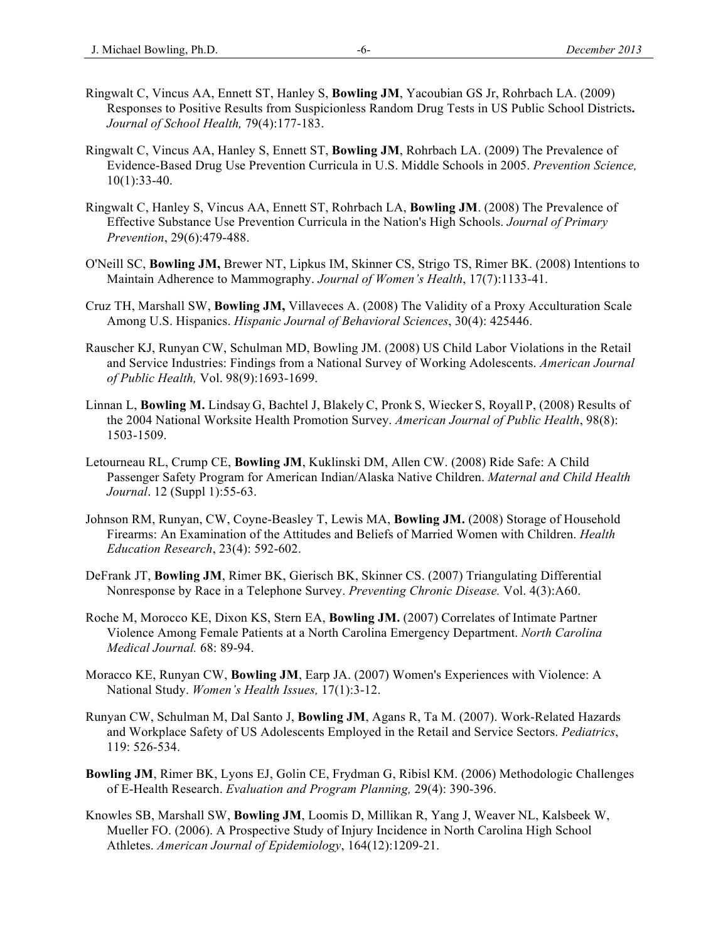- Ringwalt C, Vincus AA, Ennett ST, Hanley S, **Bowling JM**, Yacoubian GS Jr, Rohrbach LA. (2009) Responses to Positive Results from Suspicionless Random Drug Tests in US Public School Districts**.** *Journal of School Health,* 79(4):177-183.
- Ringwalt C, Vincus AA, Hanley S, Ennett ST, **Bowling JM**, Rohrbach LA. (2009) The Prevalence of Evidence-Based Drug Use Prevention Curricula in U.S. Middle Schools in 2005. *Prevention Science,*  10(1):33-40.
- Ringwalt C, Hanley S, Vincus AA, Ennett ST, Rohrbach LA, **Bowling JM**. (2008) The Prevalence of Effective Substance Use Prevention Curricula in the Nation's High Schools. *Journal of Primary Prevention*, 29(6):479-488.
- O'Neill SC, **Bowling JM,** Brewer NT, Lipkus IM, Skinner CS, Strigo TS, Rimer BK. (2008) Intentions to Maintain Adherence to Mammography. *Journal of Women's Health*, 17(7):1133-41.
- Cruz TH, Marshall SW, **Bowling JM,** Villaveces A. (2008) The Validity of a Proxy Acculturation Scale Among U.S. Hispanics. *Hispanic Journal of Behavioral Sciences*, 30(4): 425446.
- Rauscher KJ, Runyan CW, Schulman MD, Bowling JM. (2008) US Child Labor Violations in the Retail and Service Industries: Findings from a National Survey of Working Adolescents. *American Journal of Public Health,* Vol. 98(9):1693-1699.
- Linnan L, **Bowling M.** Lindsay G, Bachtel J, Blakely C, Pronk S, Wiecker S, Royall P, (2008) Results of the 2004 National Worksite Health Promotion Survey. *American Journal of Public Health*, 98(8): 1503-1509.
- Letourneau RL, Crump CE, **Bowling JM**, Kuklinski DM, Allen CW. (2008) Ride Safe: A Child Passenger Safety Program for American Indian/Alaska Native Children. *Maternal and Child Health Journal*. 12 (Suppl 1):55-63.
- Johnson RM, Runyan, CW, Coyne-Beasley T, Lewis MA, **Bowling JM.** (2008) Storage of Household Firearms: An Examination of the Attitudes and Beliefs of Married Women with Children. *Health Education Research*, 23(4): 592-602.
- DeFrank JT, **Bowling JM**, Rimer BK, Gierisch BK, Skinner CS. (2007) Triangulating Differential Nonresponse by Race in a Telephone Survey. *Preventing Chronic Disease.* Vol. 4(3):A60.
- Roche M, Morocco KE, Dixon KS, Stern EA, **Bowling JM.** (2007) Correlates of Intimate Partner Violence Among Female Patients at a North Carolina Emergency Department. *North Carolina Medical Journal.* 68: 89-94.
- Moracco KE, Runyan CW, **Bowling JM**, Earp JA. (2007) Women's Experiences with Violence: A National Study. *Women's Health Issues,* 17(1):3-12.
- Runyan CW, Schulman M, Dal Santo J, **Bowling JM**, Agans R, Ta M. (2007). Work-Related Hazards and Workplace Safety of US Adolescents Employed in the Retail and Service Sectors. *Pediatrics*, 119: 526-534.
- **Bowling JM**, Rimer BK, Lyons EJ, Golin CE, Frydman G, Ribisl KM. (2006) Methodologic Challenges of E-Health Research. *Evaluation and Program Planning,* 29(4): 390-396.
- Knowles SB, Marshall SW, **Bowling JM**, Loomis D, Millikan R, Yang J, Weaver NL, Kalsbeek W, Mueller FO. (2006). A Prospective Study of Injury Incidence in North Carolina High School Athletes. *American Journal of Epidemiology*, 164(12):1209-21.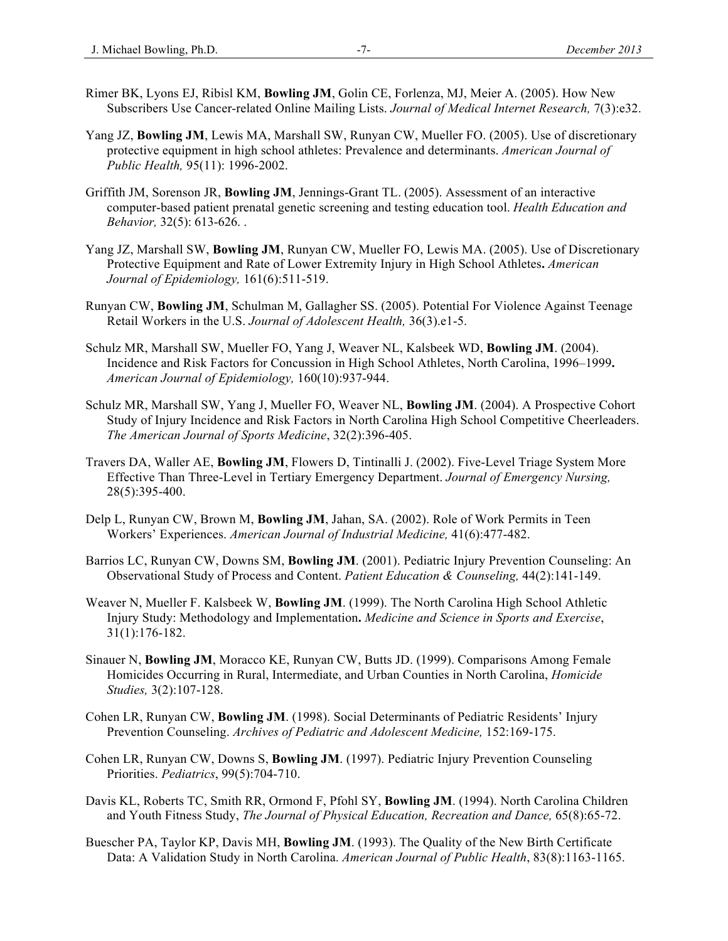- Rimer BK, Lyons EJ, Ribisl KM, **Bowling JM**, Golin CE, Forlenza, MJ, Meier A. (2005). How New Subscribers Use Cancer-related Online Mailing Lists. *Journal of Medical Internet Research,* 7(3):e32.
- Yang JZ, **Bowling JM**, Lewis MA, Marshall SW, Runyan CW, Mueller FO. (2005). Use of discretionary protective equipment in high school athletes: Prevalence and determinants. *American Journal of Public Health,* 95(11): 1996-2002.
- Griffith JM, Sorenson JR, **Bowling JM**, Jennings-Grant TL. (2005). Assessment of an interactive computer-based patient prenatal genetic screening and testing education tool. *Health Education and Behavior,* 32(5): 613-626. .
- Yang JZ, Marshall SW, **Bowling JM**, Runyan CW, Mueller FO, Lewis MA. (2005). Use of Discretionary Protective Equipment and Rate of Lower Extremity Injury in High School Athletes**.** *American Journal of Epidemiology,* 161(6):511-519.
- Runyan CW, **Bowling JM**, Schulman M, Gallagher SS. (2005). Potential For Violence Against Teenage Retail Workers in the U.S. *Journal of Adolescent Health,* 36(3).e1-5.
- Schulz MR, Marshall SW, Mueller FO, Yang J, Weaver NL, Kalsbeek WD, **Bowling JM**. (2004). Incidence and Risk Factors for Concussion in High School Athletes, North Carolina, 1996–1999**.**  *American Journal of Epidemiology,* 160(10):937-944.
- Schulz MR, Marshall SW, Yang J, Mueller FO, Weaver NL, **Bowling JM**. (2004). A Prospective Cohort Study of Injury Incidence and Risk Factors in North Carolina High School Competitive Cheerleaders. *The American Journal of Sports Medicine*, 32(2):396-405.
- Travers DA, Waller AE, **Bowling JM**, Flowers D, Tintinalli J. (2002). Five-Level Triage System More Effective Than Three-Level in Tertiary Emergency Department. *Journal of Emergency Nursing,* 28(5):395-400.
- Delp L, Runyan CW, Brown M, **Bowling JM**, Jahan, SA. (2002). Role of Work Permits in Teen Workers' Experiences. *American Journal of Industrial Medicine,* 41(6):477-482.
- Barrios LC, Runyan CW, Downs SM, **Bowling JM**. (2001). Pediatric Injury Prevention Counseling: An Observational Study of Process and Content. *Patient Education & Counseling,* 44(2):141-149.
- Weaver N, Mueller F. Kalsbeek W, **Bowling JM**. (1999). The North Carolina High School Athletic Injury Study: Methodology and Implementation**.** *Medicine and Science in Sports and Exercise*, 31(1):176-182.
- Sinauer N, **Bowling JM**, Moracco KE, Runyan CW, Butts JD. (1999). Comparisons Among Female Homicides Occurring in Rural, Intermediate, and Urban Counties in North Carolina, *Homicide Studies,* 3(2):107-128.
- Cohen LR, Runyan CW, **Bowling JM**. (1998). Social Determinants of Pediatric Residents' Injury Prevention Counseling. *Archives of Pediatric and Adolescent Medicine,* 152:169-175.
- Cohen LR, Runyan CW, Downs S, **Bowling JM**. (1997). Pediatric Injury Prevention Counseling Priorities. *Pediatrics*, 99(5):704-710.
- Davis KL, Roberts TC, Smith RR, Ormond F, Pfohl SY, **Bowling JM**. (1994). North Carolina Children and Youth Fitness Study, *The Journal of Physical Education, Recreation and Dance,* 65(8):65-72.
- Buescher PA, Taylor KP, Davis MH, **Bowling JM**. (1993). The Quality of the New Birth Certificate Data: A Validation Study in North Carolina. *American Journal of Public Health*, 83(8):1163-1165.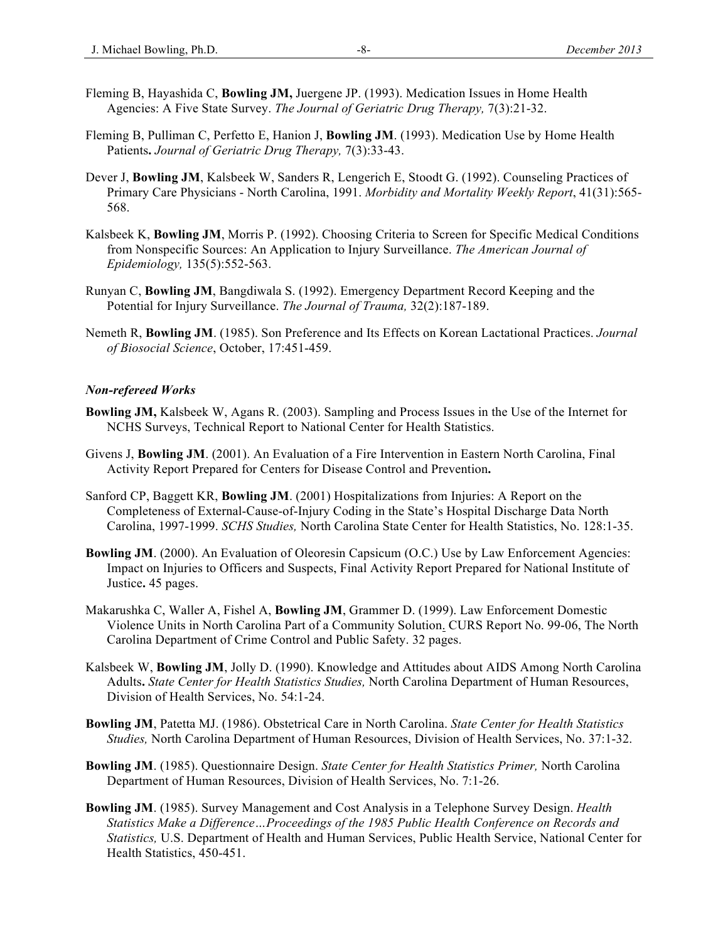- Fleming B, Hayashida C, **Bowling JM,** Juergene JP. (1993). Medication Issues in Home Health Agencies: A Five State Survey. *The Journal of Geriatric Drug Therapy,* 7(3):21-32.
- Fleming B, Pulliman C, Perfetto E, Hanion J, **Bowling JM**. (1993). Medication Use by Home Health Patients**.** *Journal of Geriatric Drug Therapy,* 7(3):33-43.
- Dever J, **Bowling JM**, Kalsbeek W, Sanders R, Lengerich E, Stoodt G. (1992). Counseling Practices of Primary Care Physicians - North Carolina, 1991. *Morbidity and Mortality Weekly Report*, 41(31):565- 568.
- Kalsbeek K, **Bowling JM**, Morris P. (1992). Choosing Criteria to Screen for Specific Medical Conditions from Nonspecific Sources: An Application to Injury Surveillance. *The American Journal of Epidemiology,* 135(5):552-563.
- Runyan C, **Bowling JM**, Bangdiwala S. (1992). Emergency Department Record Keeping and the Potential for Injury Surveillance. *The Journal of Trauma,* 32(2):187-189.
- Nemeth R, **Bowling JM**. (1985). Son Preference and Its Effects on Korean Lactational Practices. *Journal of Biosocial Science*, October, 17:451-459.

#### *Non-refereed Works*

- **Bowling JM,** Kalsbeek W, Agans R. (2003). Sampling and Process Issues in the Use of the Internet for NCHS Surveys, Technical Report to National Center for Health Statistics.
- Givens J, **Bowling JM**. (2001). An Evaluation of a Fire Intervention in Eastern North Carolina, Final Activity Report Prepared for Centers for Disease Control and Prevention**.**
- Sanford CP, Baggett KR, **Bowling JM**. (2001) Hospitalizations from Injuries: A Report on the Completeness of External-Cause-of-Injury Coding in the State's Hospital Discharge Data North Carolina, 1997-1999. *SCHS Studies,* North Carolina State Center for Health Statistics, No. 128:1-35.
- **Bowling JM**. (2000). An Evaluation of Oleoresin Capsicum (O.C.) Use by Law Enforcement Agencies: Impact on Injuries to Officers and Suspects, Final Activity Report Prepared for National Institute of Justice**.** 45 pages.
- Makarushka C, Waller A, Fishel A, **Bowling JM**, Grammer D. (1999). Law Enforcement Domestic Violence Units in North Carolina Part of a Community Solution. CURS Report No. 99-06, The North Carolina Department of Crime Control and Public Safety. 32 pages.
- Kalsbeek W, **Bowling JM**, Jolly D. (1990). Knowledge and Attitudes about AIDS Among North Carolina Adults**.** *State Center for Health Statistics Studies,* North Carolina Department of Human Resources, Division of Health Services, No. 54:1-24.
- **Bowling JM**, Patetta MJ. (1986). Obstetrical Care in North Carolina. *State Center for Health Statistics Studies,* North Carolina Department of Human Resources, Division of Health Services, No. 37:1-32.
- **Bowling JM**. (1985). Questionnaire Design. *State Center for Health Statistics Primer,* North Carolina Department of Human Resources, Division of Health Services, No. 7:1-26.
- **Bowling JM**. (1985). Survey Management and Cost Analysis in a Telephone Survey Design. *Health Statistics Make a Difference…Proceedings of the 1985 Public Health Conference on Records and Statistics,* U.S. Department of Health and Human Services, Public Health Service, National Center for Health Statistics, 450-451.